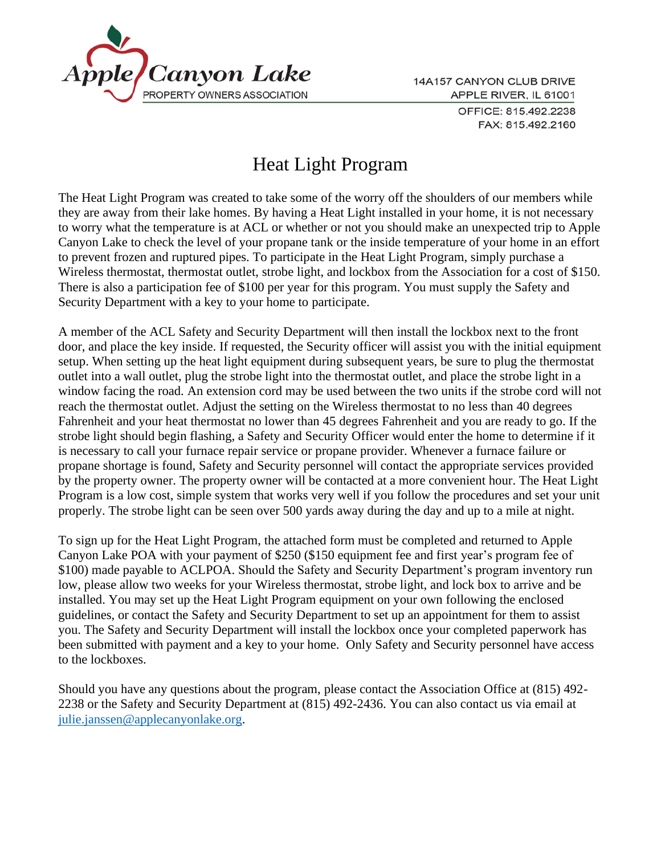

14A157 CANYON CLUB DRIVE APPLE RIVER, IL 61001 OFFICE: 815.492.2238 FAX: 815.492.2160

## Heat Light Program

The Heat Light Program was created to take some of the worry off the shoulders of our members while they are away from their lake homes. By having a Heat Light installed in your home, it is not necessary to worry what the temperature is at ACL or whether or not you should make an unexpected trip to Apple Canyon Lake to check the level of your propane tank or the inside temperature of your home in an effort to prevent frozen and ruptured pipes. To participate in the Heat Light Program, simply purchase a Wireless thermostat, thermostat outlet, strobe light, and lockbox from the Association for a cost of \$150. There is also a participation fee of \$100 per year for this program. You must supply the Safety and Security Department with a key to your home to participate.

A member of the ACL Safety and Security Department will then install the lockbox next to the front door, and place the key inside. If requested, the Security officer will assist you with the initial equipment setup. When setting up the heat light equipment during subsequent years, be sure to plug the thermostat outlet into a wall outlet, plug the strobe light into the thermostat outlet, and place the strobe light in a window facing the road. An extension cord may be used between the two units if the strobe cord will not reach the thermostat outlet. Adjust the setting on the Wireless thermostat to no less than 40 degrees Fahrenheit and your heat thermostat no lower than 45 degrees Fahrenheit and you are ready to go. If the strobe light should begin flashing, a Safety and Security Officer would enter the home to determine if it is necessary to call your furnace repair service or propane provider. Whenever a furnace failure or propane shortage is found, Safety and Security personnel will contact the appropriate services provided by the property owner. The property owner will be contacted at a more convenient hour. The Heat Light Program is a low cost, simple system that works very well if you follow the procedures and set your unit properly. The strobe light can be seen over 500 yards away during the day and up to a mile at night.

To sign up for the Heat Light Program, the attached form must be completed and returned to Apple Canyon Lake POA with your payment of \$250 (\$150 equipment fee and first year's program fee of \$100) made payable to ACLPOA. Should the Safety and Security Department's program inventory run low, please allow two weeks for your Wireless thermostat, strobe light, and lock box to arrive and be installed. You may set up the Heat Light Program equipment on your own following the enclosed guidelines, or contact the Safety and Security Department to set up an appointment for them to assist you. The Safety and Security Department will install the lockbox once your completed paperwork has been submitted with payment and a key to your home. Only Safety and Security personnel have access to the lockboxes.

Should you have any questions about the program, please contact the Association Office at (815) 492- 2238 or the Safety and Security Department at (815) 492-2436. You can also contact us via email at [julie.janssen@applecanyonlake.org.](mailto:julie.janssen@applecanyonlake.org)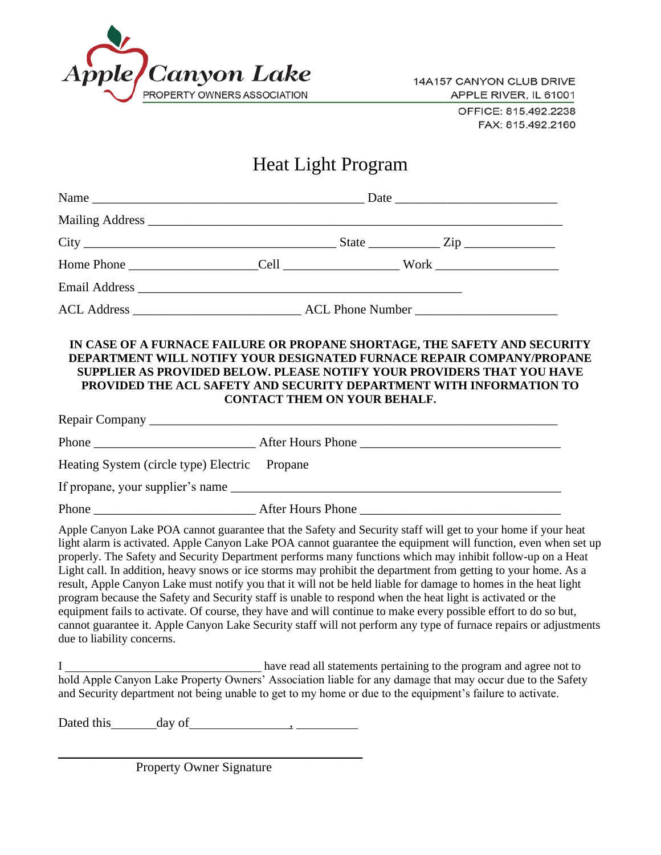

14A157 CANYON CLUB DRIVE APPLE RIVER, IL 61001 OFFICE: 815.492.2238

FAX: 815.492.2160

## Heat Light Program

|                                                                                                                                                                                                                                                                                                                                                                                                                                                                                                                                                                                                                                                                                                                                                                                                                                                                                                                                                                       | IN CASE OF A FURNACE FAILURE OR PROPANE SHORTAGE, THE SAFETY AND SECURITY<br>DEPARTMENT WILL NOTIFY YOUR DESIGNATED FURNACE REPAIR COMPANY/PROPANE<br><b>SUPPLIER AS PROVIDED BELOW. PLEASE NOTIFY YOUR PROVIDERS THAT YOU HAVE</b><br>PROVIDED THE ACL SAFETY AND SECURITY DEPARTMENT WITH INFORMATION TO<br><b>CONTACT THEM ON YOUR BEHALF.</b> |  |                                                                     |  |
|-----------------------------------------------------------------------------------------------------------------------------------------------------------------------------------------------------------------------------------------------------------------------------------------------------------------------------------------------------------------------------------------------------------------------------------------------------------------------------------------------------------------------------------------------------------------------------------------------------------------------------------------------------------------------------------------------------------------------------------------------------------------------------------------------------------------------------------------------------------------------------------------------------------------------------------------------------------------------|---------------------------------------------------------------------------------------------------------------------------------------------------------------------------------------------------------------------------------------------------------------------------------------------------------------------------------------------------|--|---------------------------------------------------------------------|--|
|                                                                                                                                                                                                                                                                                                                                                                                                                                                                                                                                                                                                                                                                                                                                                                                                                                                                                                                                                                       |                                                                                                                                                                                                                                                                                                                                                   |  |                                                                     |  |
|                                                                                                                                                                                                                                                                                                                                                                                                                                                                                                                                                                                                                                                                                                                                                                                                                                                                                                                                                                       |                                                                                                                                                                                                                                                                                                                                                   |  |                                                                     |  |
| Heating System (circle type) Electric Propane                                                                                                                                                                                                                                                                                                                                                                                                                                                                                                                                                                                                                                                                                                                                                                                                                                                                                                                         |                                                                                                                                                                                                                                                                                                                                                   |  |                                                                     |  |
|                                                                                                                                                                                                                                                                                                                                                                                                                                                                                                                                                                                                                                                                                                                                                                                                                                                                                                                                                                       |                                                                                                                                                                                                                                                                                                                                                   |  |                                                                     |  |
|                                                                                                                                                                                                                                                                                                                                                                                                                                                                                                                                                                                                                                                                                                                                                                                                                                                                                                                                                                       |                                                                                                                                                                                                                                                                                                                                                   |  |                                                                     |  |
| Apple Canyon Lake POA cannot guarantee that the Safety and Security staff will get to your home if your heat<br>light alarm is activated. Apple Canyon Lake POA cannot guarantee the equipment will function, even when set up<br>properly. The Safety and Security Department performs many functions which may inhibit follow-up on a Heat<br>Light call. In addition, heavy snows or ice storms may prohibit the department from getting to your home. As a<br>result, Apple Canyon Lake must notify you that it will not be held liable for damage to homes in the heat light<br>program because the Safety and Security staff is unable to respond when the heat light is activated or the<br>equipment fails to activate. Of course, they have and will continue to make every possible effort to do so but,<br>cannot guarantee it. Apple Canyon Lake Security staff will not perform any type of furnace repairs or adjustments<br>due to liability concerns. |                                                                                                                                                                                                                                                                                                                                                   |  |                                                                     |  |
| hold Apple Canyon Lake Property Owners' Association liable for any damage that may occur due to the Safety<br>and Security department not being unable to get to my home or due to the equipment's failure to activate.                                                                                                                                                                                                                                                                                                                                                                                                                                                                                                                                                                                                                                                                                                                                               |                                                                                                                                                                                                                                                                                                                                                   |  | have read all statements pertaining to the program and agree not to |  |
|                                                                                                                                                                                                                                                                                                                                                                                                                                                                                                                                                                                                                                                                                                                                                                                                                                                                                                                                                                       |                                                                                                                                                                                                                                                                                                                                                   |  |                                                                     |  |

Property Owner Signature